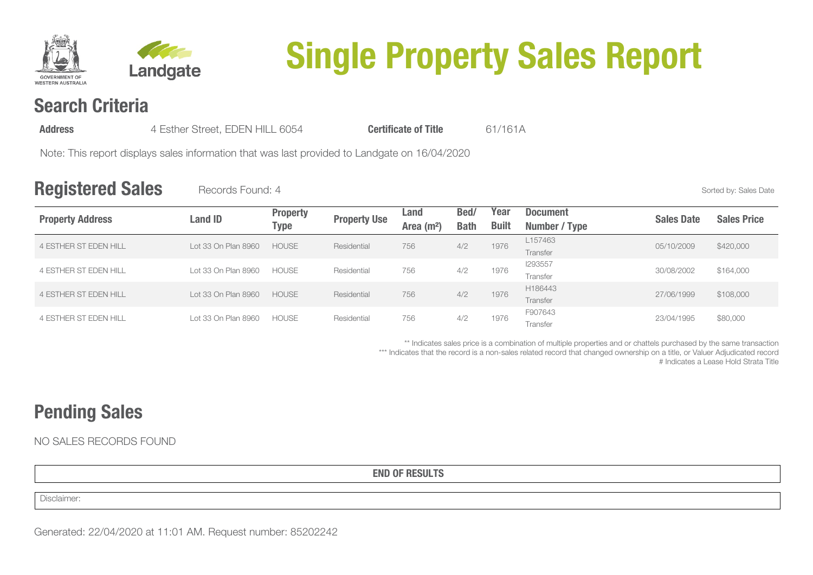



# **Single Property Sales Report**

## **Search Criteria**

**Address** 4 Esther Street, EDEN HILL 6054 **Certificate of Title** 61/161A

Note: This report displays sales information that was last provided to Landgate on 16/04/2020

### **Registered Sales** Records Found: 4 Sorted by: Sales Date

| <b>Property Address</b>      | <b>Land ID</b>      | <b>Property</b><br><b>Type</b> | <b>Property Use</b> | Land                   | Bed/        | Year         | <b>Document</b> | <b>Sales Date</b> | <b>Sales Price</b> |
|------------------------------|---------------------|--------------------------------|---------------------|------------------------|-------------|--------------|-----------------|-------------------|--------------------|
|                              |                     |                                |                     | Area (m <sup>2</sup> ) | <b>Bath</b> | <b>Built</b> | Number / Type   |                   |                    |
| <b>4 ESTHER ST EDEN HILL</b> | Lot 33 On Plan 8960 | <b>HOUSE</b>                   | Residential         | 756                    | 4/2         | 1976         | L157463         | 05/10/2009        | \$420,000          |
|                              |                     |                                |                     |                        |             |              | Transfer        |                   |                    |
| <b>4 ESTHER ST EDEN HILL</b> | Lot 33 On Plan 8960 | <b>HOUSE</b>                   | Residential         | 756                    | 4/2         | 1976         | 1293557         | 30/08/2002        | \$164,000          |
|                              |                     |                                |                     |                        |             |              | Transfer        |                   |                    |
| <b>4 ESTHER ST EDEN HILL</b> | Lot 33 On Plan 8960 | <b>HOUSE</b>                   | Residential         | 756                    | 4/2         | 1976         | H186443         | 27/06/1999        | \$108,000          |
|                              |                     |                                |                     |                        |             |              | Transfer        |                   |                    |
| 4 ESTHER ST EDEN HILL        | Lot 33 On Plan 8960 | <b>HOUSE</b>                   | Residential         | 756                    | 4/2         | 1976         | F907643         | 23/04/1995        | \$80,000           |
|                              |                     |                                |                     |                        |             |              | Transfer        |                   |                    |

\*\* Indicates sales price is a combination of multiple properties and or chattels purchased by the same transaction

\*\*\* Indicates that the record is a non-sales related record that changed ownership on a title, or Valuer Adjudicated record

# Indicates a Lease Hold Strata Title

# **Pending Sales**

NO SALES RECORDS FOUND

**END OF RESULTS**

Disclaimer: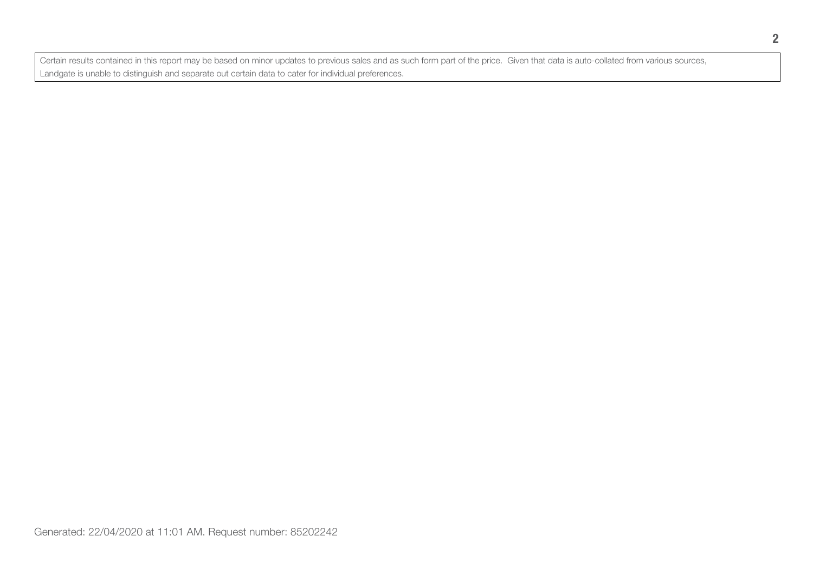Certain results contained in this report may be based on minor updates to previous sales and as such form part of the price. Given that data is auto-collated from various sources, Landgate is unable to distinguish and separate out certain data to cater for individual preferences.